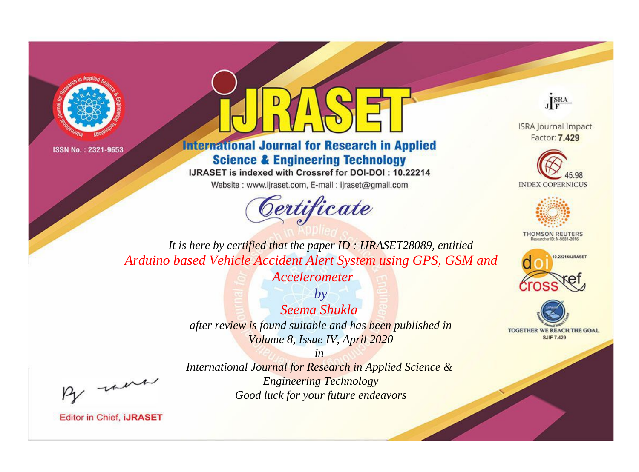



**International Journal for Research in Applied Science & Engineering Technology** 

IJRASET is indexed with Crossref for DOI-DOI: 10.22214

Website: www.ijraset.com, E-mail: ijraset@gmail.com



JERA

**ISRA Journal Impact** Factor: 7.429





**THOMSON REUTERS** 



TOGETHER WE REACH THE GOAL **SJIF 7.429** 

*It is here by certified that the paper ID : IJRASET28089, entitled Arduino based Vehicle Accident Alert System using GPS, GSM and* 

> *Accelerometer by*

*Seema Shukla after review is found suitable and has been published in Volume 8, Issue IV, April 2020*

*in* 

, un

*International Journal for Research in Applied Science & Engineering Technology Good luck for your future endeavors*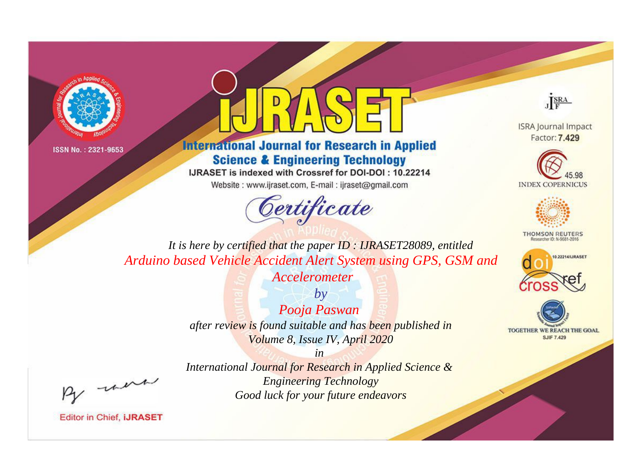



**International Journal for Research in Applied Science & Engineering Technology** 

IJRASET is indexed with Crossref for DOI-DOI: 10.22214

Website: www.ijraset.com, E-mail: ijraset@gmail.com



JERA

**ISRA Journal Impact** Factor: 7.429





**THOMSON REUTERS** 



TOGETHER WE REACH THE GOAL **SJIF 7.429** 

*It is here by certified that the paper ID : IJRASET28089, entitled Arduino based Vehicle Accident Alert System using GPS, GSM and* 

> *Accelerometer by*

*Pooja Paswan after review is found suitable and has been published in Volume 8, Issue IV, April 2020*

, un

*International Journal for Research in Applied Science & Engineering Technology Good luck for your future endeavors*

*in*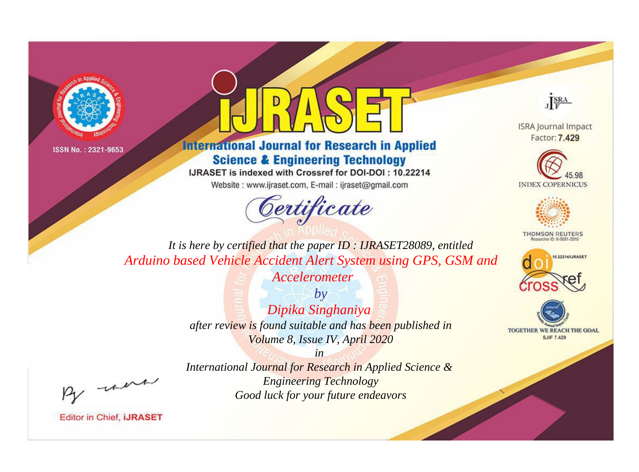



**International Journal for Research in Applied Science & Engineering Technology** 

IJRASET is indexed with Crossref for DOI-DOI: 10.22214

Website: www.ijraset.com, E-mail: ijraset@gmail.com



JERA

**ISRA Journal Impact** Factor: 7.429





**THOMSON REUTERS** 



TOGETHER WE REACH THE GOAL **SJIF 7.429** 

It is here by certified that the paper ID: IJRASET28089, entitled Arduino based Vehicle Accident Alert System using GPS, GSM and

Accelerometer

 $b\nu$ Dipika Singhaniya after review is found suitable and has been published in Volume 8, Issue IV, April 2020

were

International Journal for Research in Applied Science & **Engineering Technology** Good luck for your future endeavors

 $in$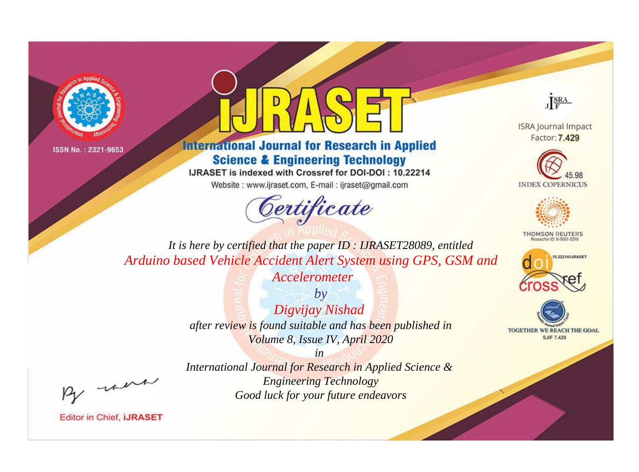



**International Journal for Research in Applied Science & Engineering Technology** 

IJRASET is indexed with Crossref for DOI-DOI: 10.22214

Website: www.ijraset.com, E-mail: ijraset@gmail.com



JERA

**ISRA Journal Impact** Factor: 7.429





**THOMSON REUTERS** 



TOGETHER WE REACH THE GOAL **SJIF 7.429** 

It is here by certified that the paper ID: IJRASET28089, entitled Arduino based Vehicle Accident Alert System using GPS, GSM and

Accelerometer

 $by$ Digvijay Nishad after review is found suitable and has been published in Volume 8, Issue IV, April 2020

were

International Journal for Research in Applied Science & **Engineering Technology** Good luck for your future endeavors

 $in$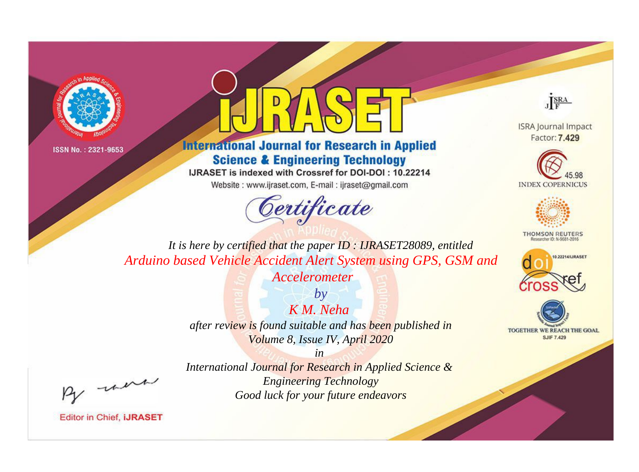



**International Journal for Research in Applied Science & Engineering Technology** 

IJRASET is indexed with Crossref for DOI-DOI: 10.22214

Website: www.ijraset.com, E-mail: ijraset@gmail.com



JERA

**ISRA Journal Impact** Factor: 7.429





**THOMSON REUTERS** 



TOGETHER WE REACH THE GOAL **SJIF 7.429** 

*It is here by certified that the paper ID : IJRASET28089, entitled Arduino based Vehicle Accident Alert System using GPS, GSM and* 

> *Accelerometer by*

*K M. Neha after review is found suitable and has been published in Volume 8, Issue IV, April 2020*

*in* 

, un

*International Journal for Research in Applied Science & Engineering Technology Good luck for your future endeavors*